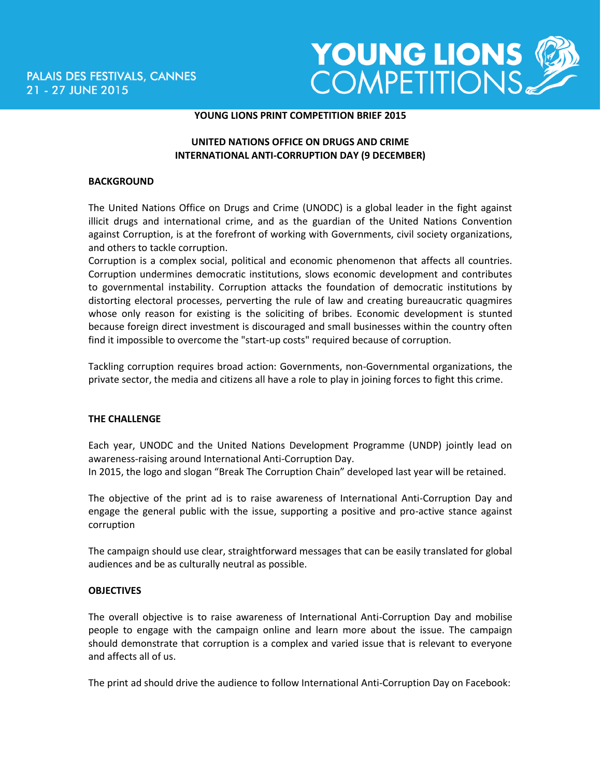

#### **YOUNG LIONS PRINT COMPETITION BRIEF 2015**

## **UNITED NATIONS OFFICE ON DRUGS AND CRIME INTERNATIONAL ANTI-CORRUPTION DAY (9 DECEMBER)**

#### **BACKGROUND**

The United Nations Office on Drugs and Crime (UNODC) is a global leader in the fight against illicit drugs and international crime, and as the guardian of the United Nations Convention against Corruption, is at the forefront of working with Governments, civil society organizations, and others to tackle corruption.

Corruption is a complex social, political and economic phenomenon that affects all countries. Corruption undermines democratic institutions, slows economic development and contributes to governmental instability. Corruption attacks the foundation of democratic institutions by distorting electoral processes, perverting the rule of law and creating bureaucratic quagmires whose only reason for existing is the soliciting of bribes. Economic development is stunted because foreign direct investment is discouraged and small businesses within the country often find it impossible to overcome the "start-up costs" required because of corruption.

Tackling corruption requires broad action: Governments, non-Governmental organizations, the private sector, the media and citizens all have a role to play in joining forces to fight this crime.

### **THE CHALLENGE**

Each year, UNODC and the United Nations Development Programme (UNDP) jointly lead on awareness-raising around International Anti-Corruption Day.

In 2015, the logo and slogan "Break The Corruption Chain" developed last year will be retained.

The objective of the print ad is to raise awareness of International Anti-Corruption Day and engage the general public with the issue, supporting a positive and pro-active stance against corruption

The campaign should use clear, straightforward messages that can be easily translated for global audiences and be as culturally neutral as possible.

### **OBJECTIVES**

The overall objective is to raise awareness of International Anti-Corruption Day and mobilise people to engage with the campaign online and learn more about the issue. The campaign should demonstrate that corruption is a complex and varied issue that is relevant to everyone and affects all of us.

The print ad should drive the audience to follow International Anti-Corruption Day on Facebook: